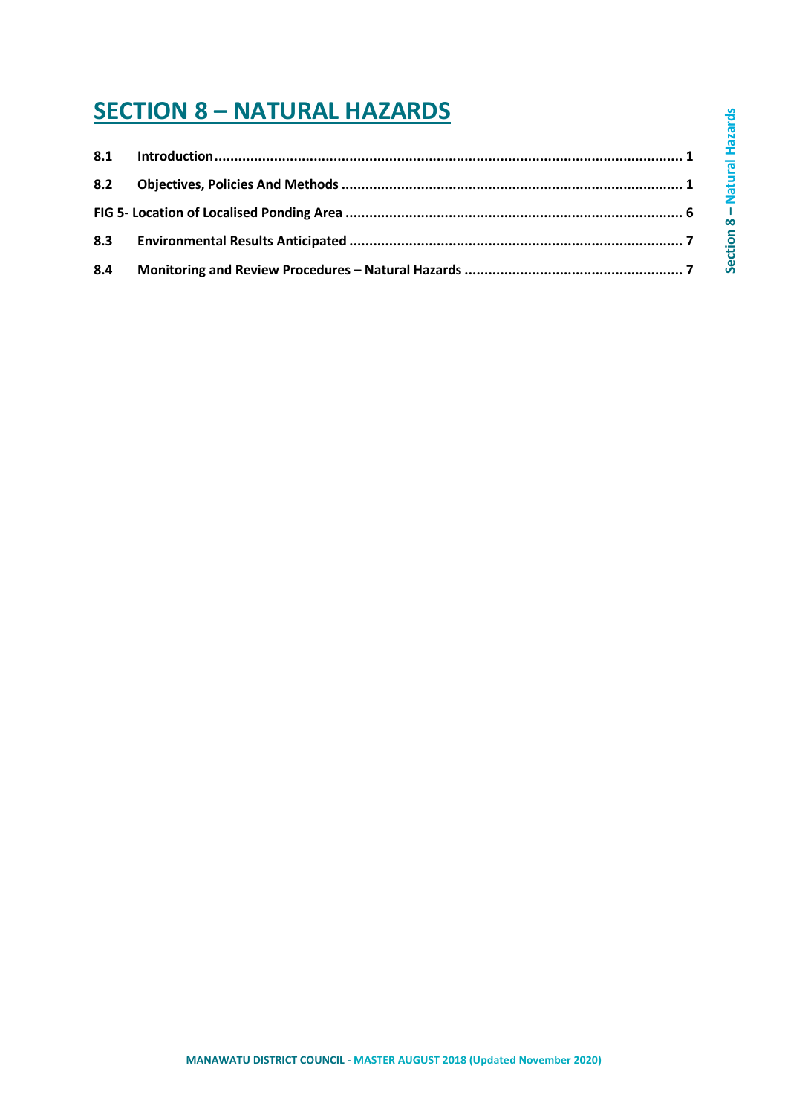# **SECTION 8 – NATURAL HAZARDS**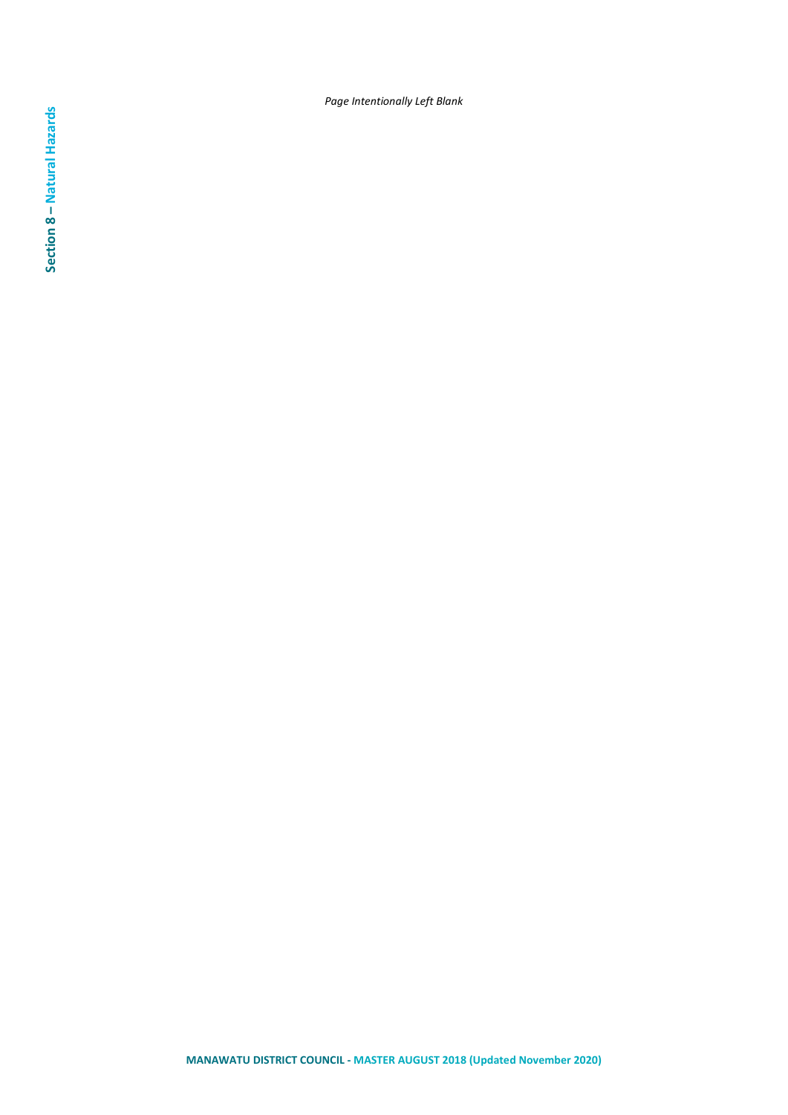*Page Intentionally Left Blank*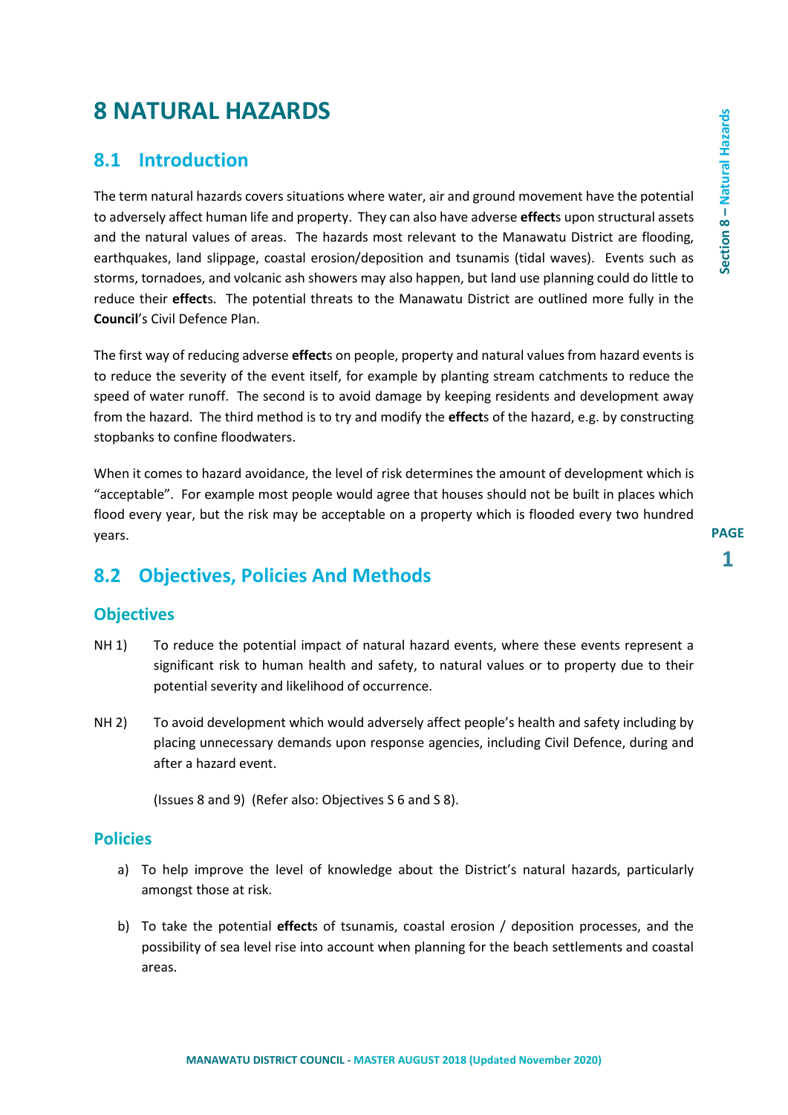## **8 NATURAL HAZARDS**

## <span id="page-2-0"></span>**8.1 Introduction**

The term natural hazards covers situations where water, air and ground movement have the potential to adversely affect human life and property. They can also have adverse **effect**s upon structural assets and the natural values of areas. The hazards most relevant to the Manawatu District are flooding, earthquakes, land slippage, coastal erosion/deposition and tsunamis (tidal waves). Events such as storms, tornadoes, and volcanic ash showers may also happen, but land use planning could do little to reduce their **effect**s. The potential threats to the Manawatu District are outlined more fully in the **Council**'s Civil Defence Plan.

The first way of reducing adverse **effect**s on people, property and natural values from hazard events is to reduce the severity of the event itself, for example by planting stream catchments to reduce the speed of water runoff. The second is to avoid damage by keeping residents and development away from the hazard. The third method is to try and modify the **effect**s of the hazard, e.g. by constructing stopbanks to confine floodwaters.

When it comes to hazard avoidance, the level of risk determines the amount of development which is "acceptable". For example most people would agree that houses should not be built in places which flood every year, but the risk may be acceptable on a property which is flooded every two hundred years.

## <span id="page-2-1"></span>**8.2 Objectives, Policies And Methods**

#### **Objectives**

- NH 1) To reduce the potential impact of natural hazard events, where these events represent a significant risk to human health and safety, to natural values or to property due to their potential severity and likelihood of occurrence.
- NH 2) To avoid development which would adversely affect people's health and safety including by placing unnecessary demands upon response agencies, including Civil Defence, during and after a hazard event.

(Issues 8 and 9) (Refer also: Objectives S 6 and S 8).

#### **Policies**

- a) To help improve the level of knowledge about the District's natural hazards, particularly amongst those at risk.
- b) To take the potential **effect**s of tsunamis, coastal erosion / deposition processes, and the possibility of sea level rise into account when planning for the beach settlements and coastal areas.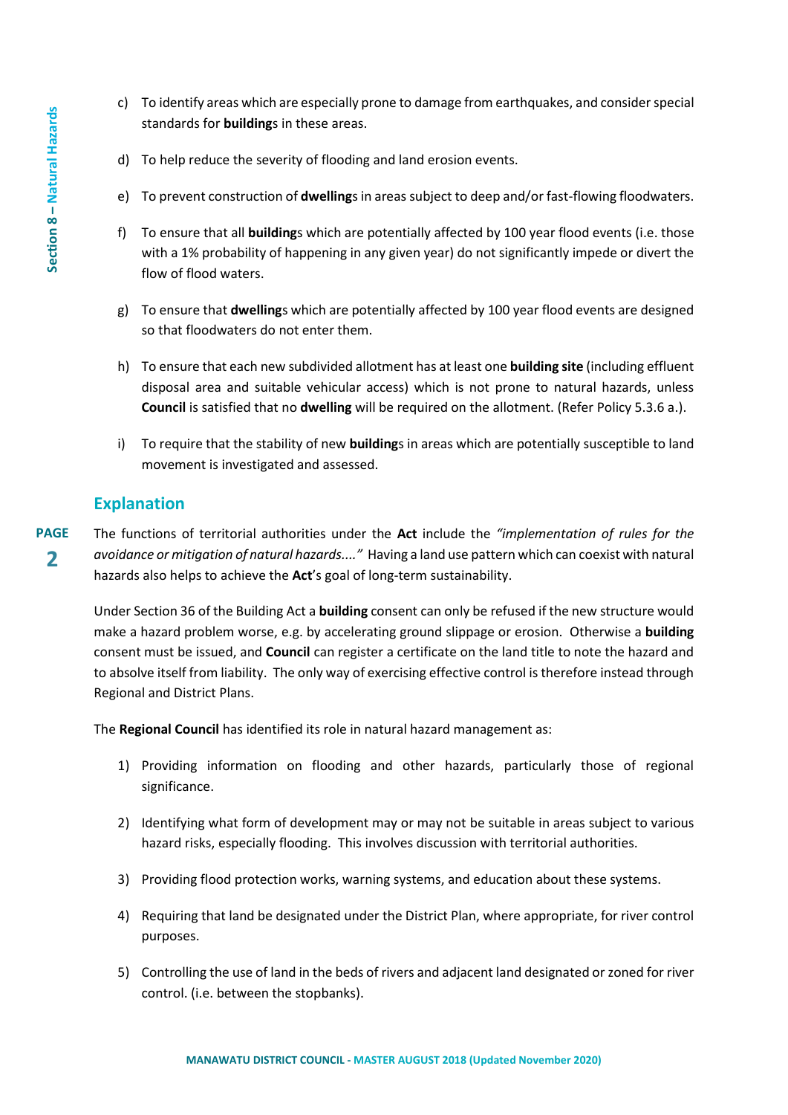- **Section 8 Natural Hazards – Natural Hazards**
- c) To identify areas which are especially prone to damage from earthquakes, and consider special standards for **building**s in these areas.
- d) To help reduce the severity of flooding and land erosion events.
- e) To prevent construction of **dwelling**s in areas subject to deep and/or fast-flowing floodwaters.
- f) To ensure that all **building**s which are potentially affected by 100 year flood events (i.e. those with a 1% probability of happening in any given year) do not significantly impede or divert the flow of flood waters.
- g) To ensure that **dwelling**s which are potentially affected by 100 year flood events are designed so that floodwaters do not enter them.
- h) To ensure that each new subdivided allotment has at least one **building site** (including effluent disposal area and suitable vehicular access) which is not prone to natural hazards, unless **Council** is satisfied that no **dwelling** will be required on the allotment. (Refer Policy 5.3.6 a.).
- i) To require that the stability of new **building**s in areas which are potentially susceptible to land movement is investigated and assessed.

#### **Explanation**

**PAGE 2**

The functions of territorial authorities under the **Act** include the *"implementation of rules for the avoidance or mitigation of natural hazards...."* Having a land use pattern which can coexist with natural hazards also helps to achieve the **Act**'s goal of long-term sustainability.

Under Section 36 of the Building Act a **building** consent can only be refused if the new structure would make a hazard problem worse, e.g. by accelerating ground slippage or erosion. Otherwise a **building** consent must be issued, and **Council** can register a certificate on the land title to note the hazard and to absolve itself from liability. The only way of exercising effective control is therefore instead through Regional and District Plans.

The **Regional Council** has identified its role in natural hazard management as:

- 1) Providing information on flooding and other hazards, particularly those of regional significance.
- 2) Identifying what form of development may or may not be suitable in areas subject to various hazard risks, especially flooding. This involves discussion with territorial authorities.
- 3) Providing flood protection works, warning systems, and education about these systems.
- 4) Requiring that land be designated under the District Plan, where appropriate, for river control purposes.
- 5) Controlling the use of land in the beds of rivers and adjacent land designated or zoned for river control. (i.e. between the stopbanks).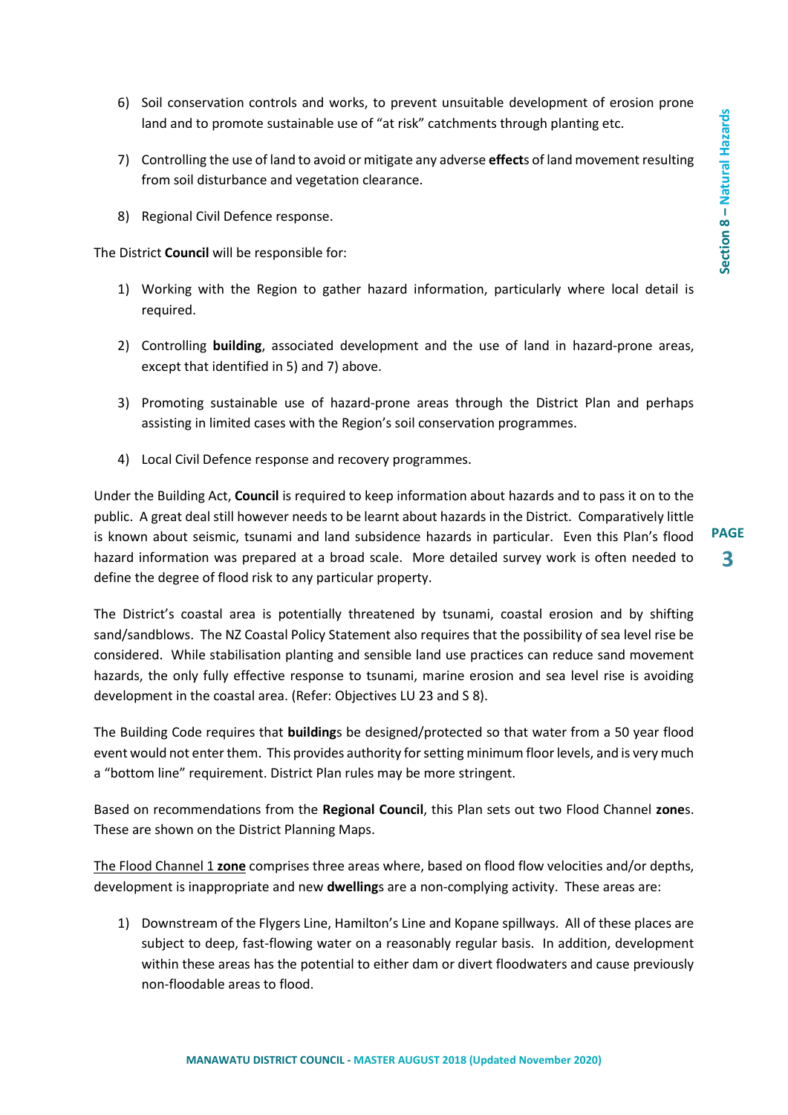- 6) Soil conservation controls and works, to prevent unsuitable development of erosion prone land and to promote sustainable use of "at risk" catchments through planting etc.
- 7) Controlling the use of land to avoid or mitigate any adverse **effect**s of land movement resulting from soil disturbance and vegetation clearance.
- 8) Regional Civil Defence response.

The District **Council** will be responsible for:

- 1) Working with the Region to gather hazard information, particularly where local detail is required.
- 2) Controlling **building**, associated development and the use of land in hazard-prone areas, except that identified in 5) and 7) above.
- 3) Promoting sustainable use of hazard-prone areas through the District Plan and perhaps assisting in limited cases with the Region's soil conservation programmes.
- 4) Local Civil Defence response and recovery programmes.

Under the Building Act, **Council** is required to keep information about hazards and to pass it on to the public. A great deal still however needs to be learnt about hazards in the District. Comparatively little is known about seismic, tsunami and land subsidence hazards in particular. Even this Plan's flood hazard information was prepared at a broad scale. More detailed survey work is often needed to define the degree of flood risk to any particular property.

The District's coastal area is potentially threatened by tsunami, coastal erosion and by shifting sand/sandblows. The NZ Coastal Policy Statement also requires that the possibility of sea level rise be considered. While stabilisation planting and sensible land use practices can reduce sand movement hazards, the only fully effective response to tsunami, marine erosion and sea level rise is avoiding development in the coastal area. (Refer: Objectives LU 23 and S 8).

The Building Code requires that **building**s be designed/protected so that water from a 50 year flood event would not enter them. This provides authority for setting minimum floor levels, and is very much a "bottom line" requirement. District Plan rules may be more stringent.

Based on recommendations from the **Regional Council**, this Plan sets out two Flood Channel **zone**s. These are shown on the District Planning Maps.

The Flood Channel 1 **zone** comprises three areas where, based on flood flow velocities and/or depths, development is inappropriate and new **dwelling**s are a non-complying activity. These areas are:

1) Downstream of the Flygers Line, Hamilton's Line and Kopane spillways. All of these places are subject to deep, fast-flowing water on a reasonably regular basis. In addition, development within these areas has the potential to either dam or divert floodwaters and cause previously non-floodable areas to flood.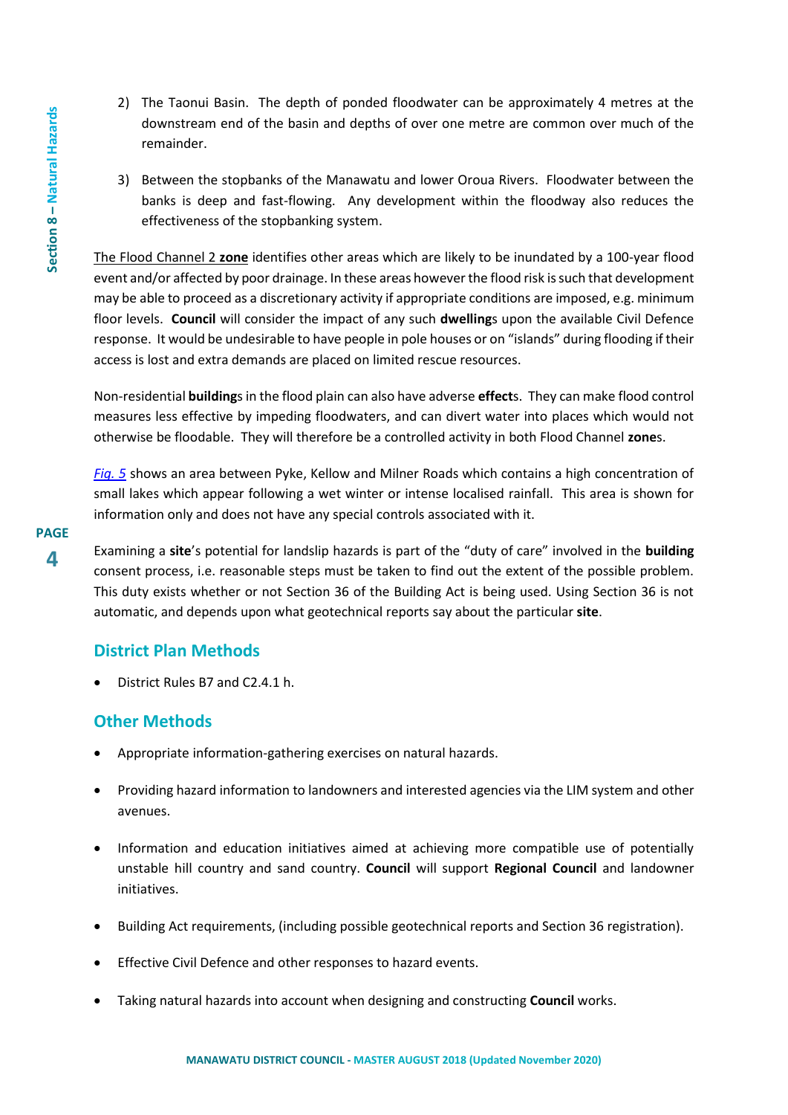- 2) The Taonui Basin. The depth of ponded floodwater can be approximately 4 metres at the downstream end of the basin and depths of over one metre are common over much of the remainder.
- 3) Between the stopbanks of the Manawatu and lower Oroua Rivers. Floodwater between the banks is deep and fast-flowing. Any development within the floodway also reduces the effectiveness of the stopbanking system.

The Flood Channel 2 **zone** identifies other areas which are likely to be inundated by a 100-year flood event and/or affected by poor drainage. In these areas however the flood risk is such that development may be able to proceed as a discretionary activity if appropriate conditions are imposed, e.g. minimum floor levels. **Council** will consider the impact of any such **dwelling**s upon the available Civil Defence response. It would be undesirable to have people in pole houses or on "islands" during flooding if their access is lost and extra demands are placed on limited rescue resources.

Non-residential **building**s in the flood plain can also have adverse **effect**s. They can make flood control measures less effective by impeding floodwaters, and can divert water into places which would not otherwise be floodable. They will therefore be a controlled activity in both Flood Channel **zone**s.

*[Fig. 5](#page-7-0)* shows an area between Pyke, Kellow and Milner Roads which contains a high concentration of small lakes which appear following a wet winter or intense localised rainfall. This area is shown for information only and does not have any special controls associated with it.

Examining a **site**'s potential for landslip hazards is part of the "duty of care" involved in the **building** consent process, i.e. reasonable steps must be taken to find out the extent of the possible problem. This duty exists whether or not Section 36 of the Building Act is being used. Using Section 36 is not automatic, and depends upon what geotechnical reports say about the particular **site**.

#### **District Plan Methods**

• District Rules B7 and C2.4.1 h.

#### **Other Methods**

- Appropriate information-gathering exercises on natural hazards.
- Providing hazard information to landowners and interested agencies via the LIM system and other avenues.
- Information and education initiatives aimed at achieving more compatible use of potentially unstable hill country and sand country. **Council** will support **Regional Council** and landowner initiatives.
- Building Act requirements, (including possible geotechnical reports and Section 36 registration).
- Effective Civil Defence and other responses to hazard events.
- Taking natural hazards into account when designing and constructing **Council** works.

**PAGE 4**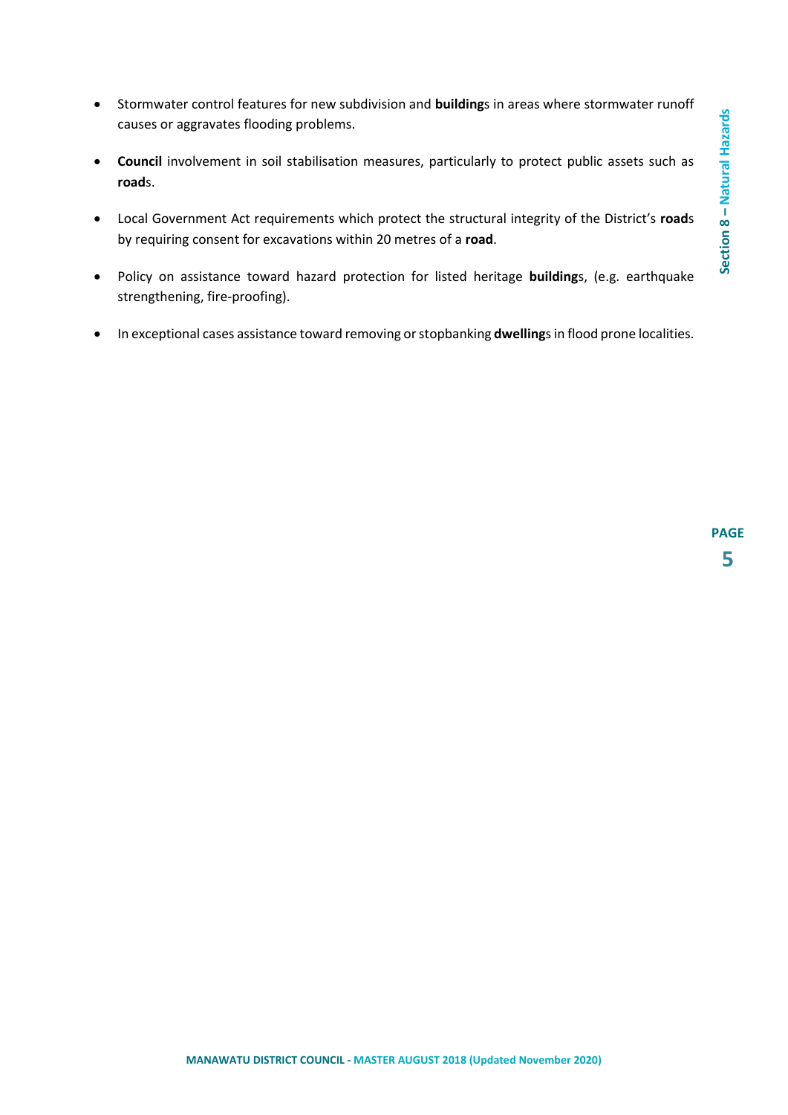- Stormwater control features for new subdivision and **building**s in areas where stormwater runoff causes or aggravates flooding problems.
- **Council** involvement in soil stabilisation measures, particularly to protect public assets such as **road**s.
- Local Government Act requirements which protect the structural integrity of the District's **road**s by requiring consent for excavations within 20 metres of a **road**.
- Policy on assistance toward hazard protection for listed heritage **building**s, (e.g. earthquake strengthening, fire-proofing).
- In exceptional cases assistance toward removing or stopbanking **dwelling**s in flood prone localities.

**PAGE 5**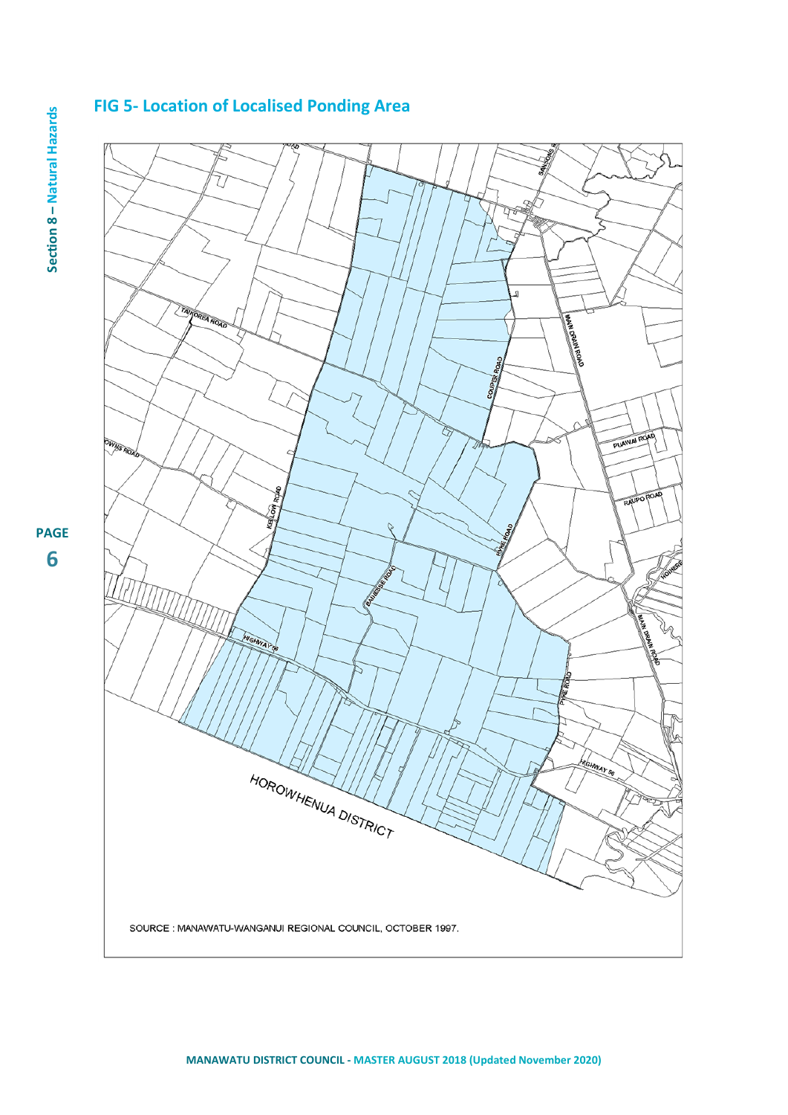#### **FIG 5- Location of Localised Ponding Area**





<span id="page-7-0"></span>